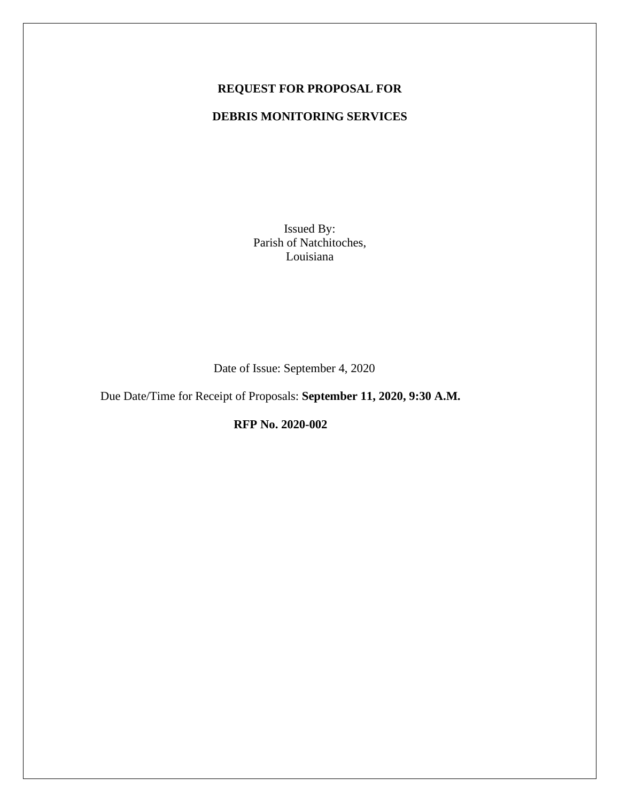## **REQUEST FOR PROPOSAL FOR**

## **DEBRIS MONITORING SERVICES**

Issued By: Parish of Natchitoches, Louisiana

Date of Issue: September 4, 2020

Due Date/Time for Receipt of Proposals: **September 11, 2020, 9:30 A.M.** 

**RFP No. 2020-002**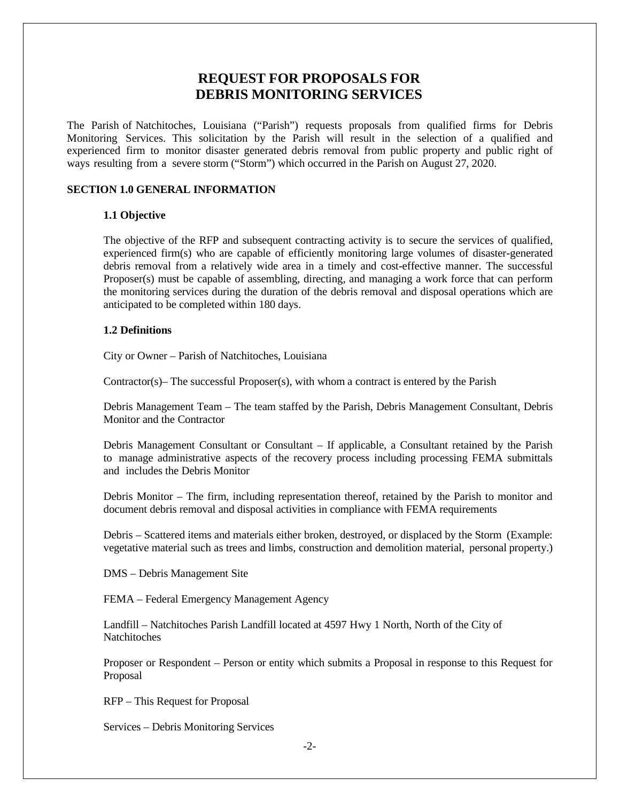# **REQUEST FOR PROPOSALS FOR DEBRIS MONITORING SERVICES**

The Parish of Natchitoches, Louisiana ("Parish") requests proposals from qualified firms for Debris Monitoring Services. This solicitation by the Parish will result in the selection of a qualified and experienced firm to monitor disaster generated debris removal from public property and public right of ways resulting from a severe storm ("Storm") which occurred in the Parish on August 27, 2020.

## **SECTION 1.0 GENERAL INFORMATION**

## **1.1 Objective**

The objective of the RFP and subsequent contracting activity is to secure the services of qualified, experienced firm(s) who are capable of efficiently monitoring large volumes of disaster-generated debris removal from a relatively wide area in a timely and cost-effective manner. The successful Proposer(s) must be capable of assembling, directing, and managing a work force that can perform the monitoring services during the duration of the debris removal and disposal operations which are anticipated to be completed within 180 days.

## **1.2 Definitions**

City or Owner – Parish of Natchitoches, Louisiana

Contractor(s)– The successful Proposer(s), with whom a contract is entered by the Parish

Debris Management Team – The team staffed by the Parish, Debris Management Consultant, Debris Monitor and the Contractor

Debris Management Consultant or Consultant – If applicable, a Consultant retained by the Parish to manage administrative aspects of the recovery process including processing FEMA submittals and includes the Debris Monitor

Debris Monitor – The firm, including representation thereof, retained by the Parish to monitor and document debris removal and disposal activities in compliance with FEMA requirements

Debris – Scattered items and materials either broken, destroyed, or displaced by the Storm (Example: vegetative material such as trees and limbs, construction and demolition material, personal property.)

DMS – Debris Management Site

FEMA – Federal Emergency Management Agency

Landfill – Natchitoches Parish Landfill located at 4597 Hwy 1 North, North of the City of **Natchitoches** 

Proposer or Respondent – Person or entity which submits a Proposal in response to this Request for Proposal

RFP – This Request for Proposal

Services – Debris Monitoring Services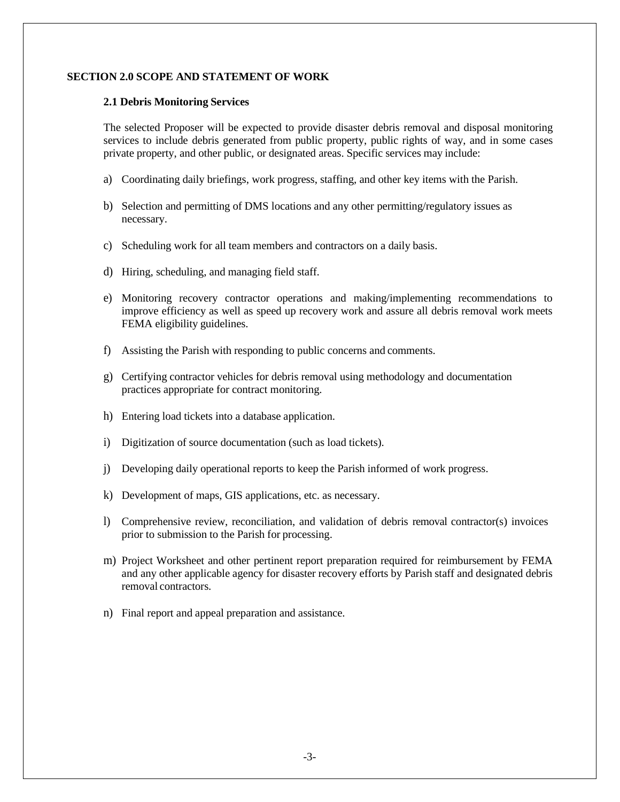## **SECTION 2.0 SCOPE AND STATEMENT OF WORK**

#### **2.1 Debris Monitoring Services**

The selected Proposer will be expected to provide disaster debris removal and disposal monitoring services to include debris generated from public property, public rights of way, and in some cases private property, and other public, or designated areas. Specific services may include:

- a) Coordinating daily briefings, work progress, staffing, and other key items with the Parish.
- b) Selection and permitting of DMS locations and any other permitting/regulatory issues as necessary.
- c) Scheduling work for all team members and contractors on a daily basis.
- d) Hiring, scheduling, and managing field staff.
- e) Monitoring recovery contractor operations and making/implementing recommendations to improve efficiency as well as speed up recovery work and assure all debris removal work meets FEMA eligibility guidelines.
- f) Assisting the Parish with responding to public concerns and comments.
- g) Certifying contractor vehicles for debris removal using methodology and documentation practices appropriate for contract monitoring.
- h) Entering load tickets into a database application.
- i) Digitization of source documentation (such as load tickets).
- j) Developing daily operational reports to keep the Parish informed of work progress.
- k) Development of maps, GIS applications, etc. as necessary.
- l) Comprehensive review, reconciliation, and validation of debris removal contractor(s) invoices prior to submission to the Parish for processing.
- m) Project Worksheet and other pertinent report preparation required for reimbursement by FEMA and any other applicable agency for disaster recovery efforts by Parish staff and designated debris removal contractors.
- n) Final report and appeal preparation and assistance.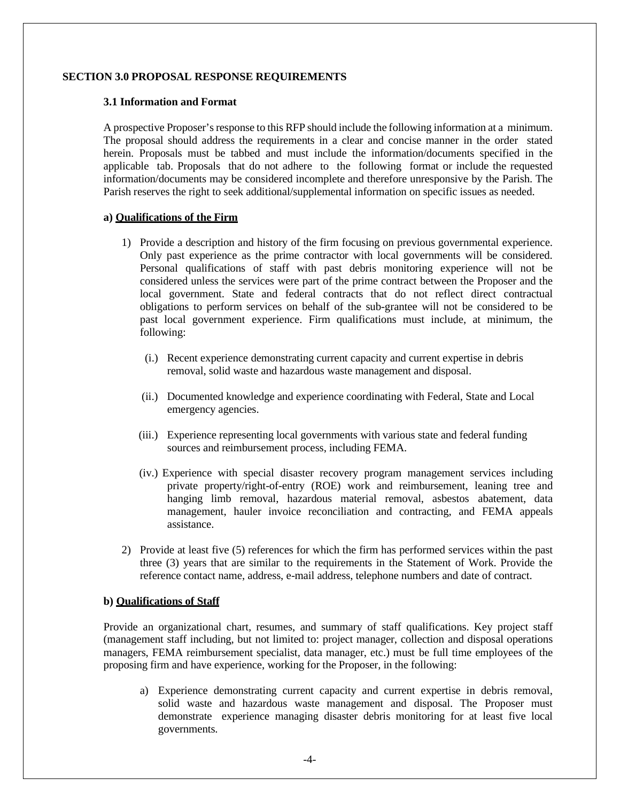#### **SECTION 3.0 PROPOSAL RESPONSE REQUIREMENTS**

#### **3.1 Information and Format**

A prospective Proposer's response to this RFP should include the following information at a minimum. The proposal should address the requirements in a clear and concise manner in the order stated herein. Proposals must be tabbed and must include the information/documents specified in the applicable tab. Proposals that do not adhere to the following format or include the requested information/documents may be considered incomplete and therefore unresponsive by the Parish. The Parish reserves the right to seek additional/supplemental information on specific issues as needed.

## **a) Qualifications of the Firm**

- 1) Provide a description and history of the firm focusing on previous governmental experience. Only past experience as the prime contractor with local governments will be considered. Personal qualifications of staff with past debris monitoring experience will not be considered unless the services were part of the prime contract between the Proposer and the local government. State and federal contracts that do not reflect direct contractual obligations to perform services on behalf of the sub-grantee will not be considered to be past local government experience. Firm qualifications must include, at minimum, the following:
	- (i.) Recent experience demonstrating current capacity and current expertise in debris removal, solid waste and hazardous waste management and disposal.
	- (ii.) Documented knowledge and experience coordinating with Federal, State and Local emergency agencies.
	- (iii.) Experience representing local governments with various state and federal funding sources and reimbursement process, including FEMA.
	- (iv.) Experience with special disaster recovery program management services including private property/right-of-entry (ROE) work and reimbursement, leaning tree and hanging limb removal, hazardous material removal, asbestos abatement, data management, hauler invoice reconciliation and contracting, and FEMA appeals assistance.
- 2) Provide at least five (5) references for which the firm has performed services within the past three (3) years that are similar to the requirements in the Statement of Work. Provide the reference contact name, address, e-mail address, telephone numbers and date of contract.

#### **b) Qualifications of Staff**

Provide an organizational chart, resumes, and summary of staff qualifications. Key project staff (management staff including, but not limited to: project manager, collection and disposal operations managers, FEMA reimbursement specialist, data manager, etc.) must be full time employees of the proposing firm and have experience, working for the Proposer, in the following:

a) Experience demonstrating current capacity and current expertise in debris removal, solid waste and hazardous waste management and disposal. The Proposer must demonstrate experience managing disaster debris monitoring for at least five local governments.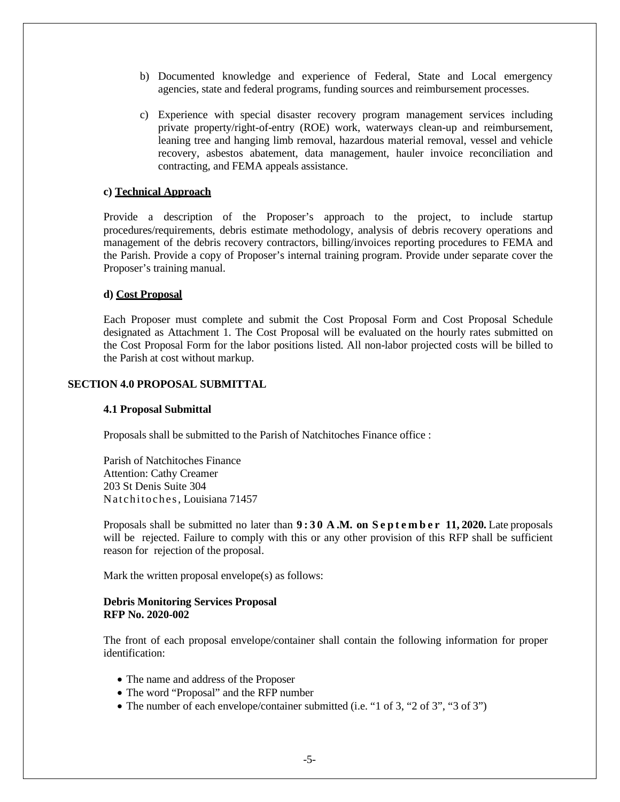- b) Documented knowledge and experience of Federal, State and Local emergency agencies, state and federal programs, funding sources and reimbursement processes.
- c) Experience with special disaster recovery program management services including private property/right-of-entry (ROE) work, waterways clean-up and reimbursement, leaning tree and hanging limb removal, hazardous material removal, vessel and vehicle recovery, asbestos abatement, data management, hauler invoice reconciliation and contracting, and FEMA appeals assistance.

#### **c) Technical Approach**

Provide a description of the Proposer's approach to the project, to include startup procedures/requirements, debris estimate methodology, analysis of debris recovery operations and management of the debris recovery contractors, billing/invoices reporting procedures to FEMA and the Parish. Provide a copy of Proposer's internal training program. Provide under separate cover the Proposer's training manual.

#### **d) Cost Proposal**

Each Proposer must complete and submit the Cost Proposal Form and Cost Proposal Schedule designated as Attachment 1. The Cost Proposal will be evaluated on the hourly rates submitted on the Cost Proposal Form for the labor positions listed. All non-labor projected costs will be billed to the Parish at cost without markup.

## **SECTION 4.0 PROPOSAL SUBMITTAL**

#### **4.1 Proposal Submittal**

Proposals shall be submitted to the Parish of Natchitoches Finance office :

Parish of Natchitoches Finance Attention: Cathy Creamer 203 St Denis Suite 304 Natchitoches, Louisiana 71457

Proposals shall be submitted no later than **9 : 3 0 A .M. on S e p t e m b e r 11, 2020.** Late proposals will be rejected. Failure to comply with this or any other provision of this RFP shall be sufficient reason for rejection of the proposal.

Mark the written proposal envelope(s) as follows:

#### **Debris Monitoring Services Proposal RFP No. 2020-002**

The front of each proposal envelope/container shall contain the following information for proper identification:

- The name and address of the Proposer
- The word "Proposal" and the RFP number
- The number of each envelope/container submitted (i.e. "1 of 3, "2 of 3", "3 of 3")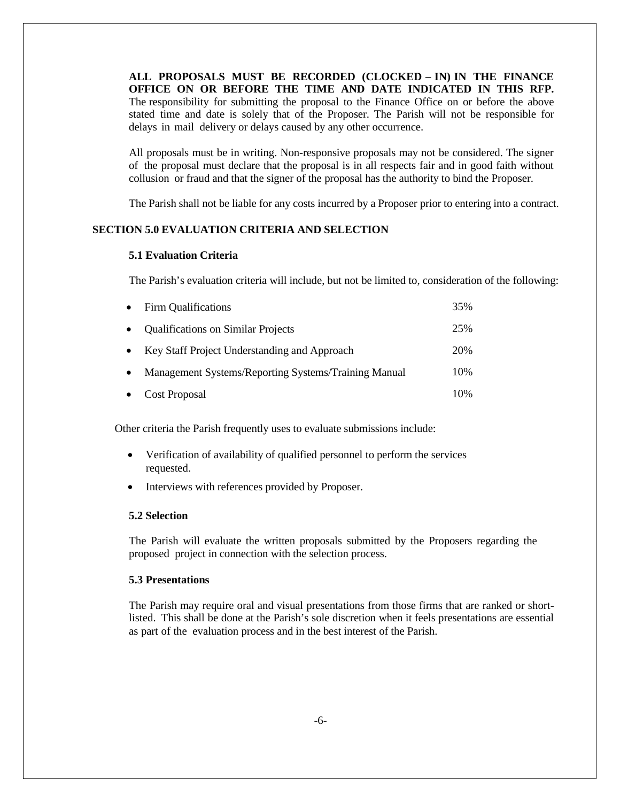**ALL PROPOSALS MUST BE RECORDED (CLOCKED – IN) IN THE FINANCE OFFICE ON OR BEFORE THE TIME AND DATE INDICATED IN THIS RFP.**  The responsibility for submitting the proposal to the Finance Office on or before the above stated time and date is solely that of the Proposer. The Parish will not be responsible for delays in mail delivery or delays caused by any other occurrence.

All proposals must be in writing. Non-responsive proposals may not be considered. The signer of the proposal must declare that the proposal is in all respects fair and in good faith without collusion or fraud and that the signer of the proposal has the authority to bind the Proposer.

The Parish shall not be liable for any costs incurred by a Proposer prior to entering into a contract.

## **SECTION 5.0 EVALUATION CRITERIA AND SELECTION**

#### **5.1 Evaluation Criteria**

The Parish's evaluation criteria will include, but not be limited to, consideration of the following:

|           | • Firm Qualifications                                | 35% |
|-----------|------------------------------------------------------|-----|
| $\bullet$ | <b>Qualifications on Similar Projects</b>            | 25% |
|           | • Key Staff Project Understanding and Approach       | 20% |
| $\bullet$ | Management Systems/Reporting Systems/Training Manual | 10% |
| $\bullet$ | <b>Cost Proposal</b>                                 | 10% |

Other criteria the Parish frequently uses to evaluate submissions include:

- Verification of availability of qualified personnel to perform the services requested.
- Interviews with references provided by Proposer.

#### **5.2 Selection**

The Parish will evaluate the written proposals submitted by the Proposers regarding the proposed project in connection with the selection process.

## **5.3 Presentations**

The Parish may require oral and visual presentations from those firms that are ranked or shortlisted. This shall be done at the Parish's sole discretion when it feels presentations are essential as part of the evaluation process and in the best interest of the Parish.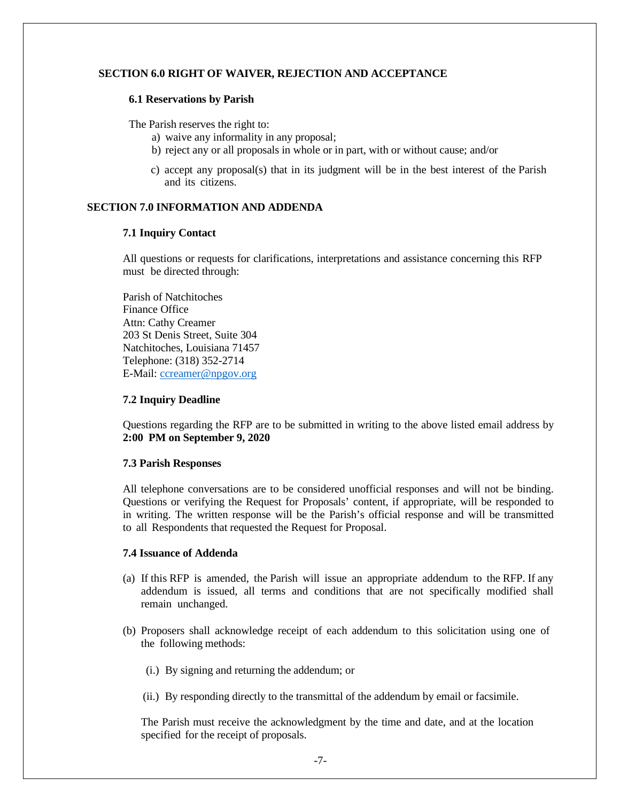## **SECTION 6.0 RIGHT OF WAIVER, REJECTION AND ACCEPTANCE**

#### **6.1 Reservations by Parish**

The Parish reserves the right to:

- a) waive any informality in any proposal;
- b) reject any or all proposals in whole or in part, with or without cause; and/or
- c) accept any proposal(s) that in its judgment will be in the best interest of the Parish and its citizens.

### **SECTION 7.0 INFORMATION AND ADDENDA**

#### **7.1 Inquiry Contact**

All questions or requests for clarifications, interpretations and assistance concerning this RFP must be directed through:

Parish of Natchitoches Finance Office Attn: Cathy Creamer 203 St Denis Street, Suite 304 Natchitoches, Louisiana 71457 Telephone: (318) 352-2714 E-Mail: ccreamer@npgov.org

#### **7.2 Inquiry Deadline**

Questions regarding the RFP are to be submitted in writing to the above listed email address by **2:00 PM on September 9, 2020**

## **7.3 Parish Responses**

All telephone conversations are to be considered unofficial responses and will not be binding. Questions or verifying the Request for Proposals' content, if appropriate, will be responded to in writing. The written response will be the Parish's official response and will be transmitted to all Respondents that requested the Request for Proposal.

### **7.4 Issuance of Addenda**

- (a) If this RFP is amended, the Parish will issue an appropriate addendum to the RFP. If any addendum is issued, all terms and conditions that are not specifically modified shall remain unchanged.
- (b) Proposers shall acknowledge receipt of each addendum to this solicitation using one of the following methods:
	- (i.) By signing and returning the addendum; or
	- (ii.) By responding directly to the transmittal of the addendum by email or facsimile.

The Parish must receive the acknowledgment by the time and date, and at the location specified for the receipt of proposals.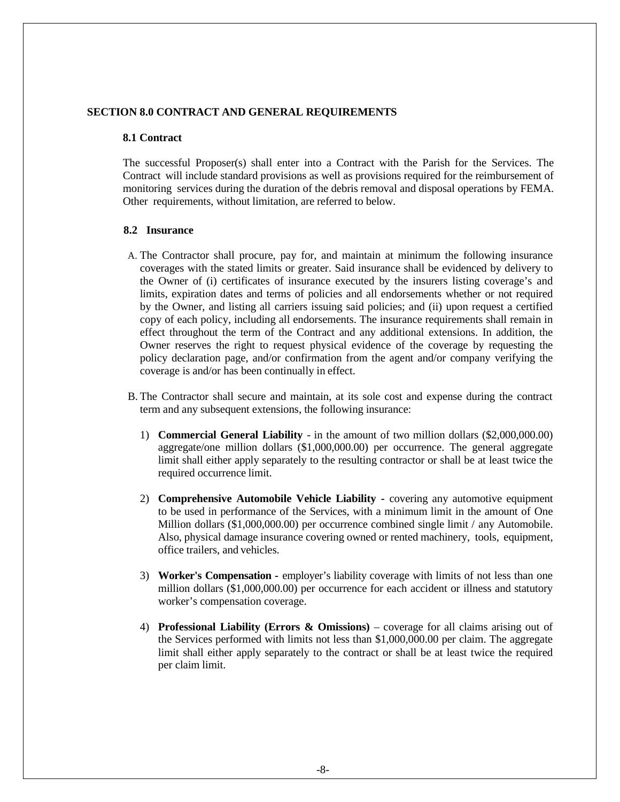## **SECTION 8.0 CONTRACT AND GENERAL REQUIREMENTS**

#### **8.1 Contract**

The successful Proposer(s) shall enter into a Contract with the Parish for the Services. The Contract will include standard provisions as well as provisions required for the reimbursement of monitoring services during the duration of the debris removal and disposal operations by FEMA. Other requirements, without limitation, are referred to below.

#### **8.2 Insurance**

- A. The Contractor shall procure, pay for, and maintain at minimum the following insurance coverages with the stated limits or greater. Said insurance shall be evidenced by delivery to the Owner of (i) certificates of insurance executed by the insurers listing coverage's and limits, expiration dates and terms of policies and all endorsements whether or not required by the Owner, and listing all carriers issuing said policies; and (ii) upon request a certified copy of each policy, including all endorsements. The insurance requirements shall remain in effect throughout the term of the Contract and any additional extensions. In addition, the Owner reserves the right to request physical evidence of the coverage by requesting the policy declaration page, and/or confirmation from the agent and/or company verifying the coverage is and/or has been continually in effect.
- B. The Contractor shall secure and maintain, at its sole cost and expense during the contract term and any subsequent extensions, the following insurance:
	- 1) **Commercial General Liability**  in the amount of two million dollars (\$2,000,000.00) aggregate/one million dollars (\$1,000,000.00) per occurrence. The general aggregate limit shall either apply separately to the resulting contractor or shall be at least twice the required occurrence limit.
	- 2) **Comprehensive Automobile Vehicle Liability** covering any automotive equipment to be used in performance of the Services, with a minimum limit in the amount of One Million dollars (\$1,000,000.00) per occurrence combined single limit / any Automobile. Also, physical damage insurance covering owned or rented machinery, tools, equipment, office trailers, and vehicles.
	- 3) **Worker's Compensation** employer's liability coverage with limits of not less than one million dollars (\$1,000,000.00) per occurrence for each accident or illness and statutory worker's compensation coverage.
	- 4) **Professional Liability (Errors & Omissions)**  coverage for all claims arising out of the Services performed with limits not less than \$1,000,000.00 per claim. The aggregate limit shall either apply separately to the contract or shall be at least twice the required per claim limit.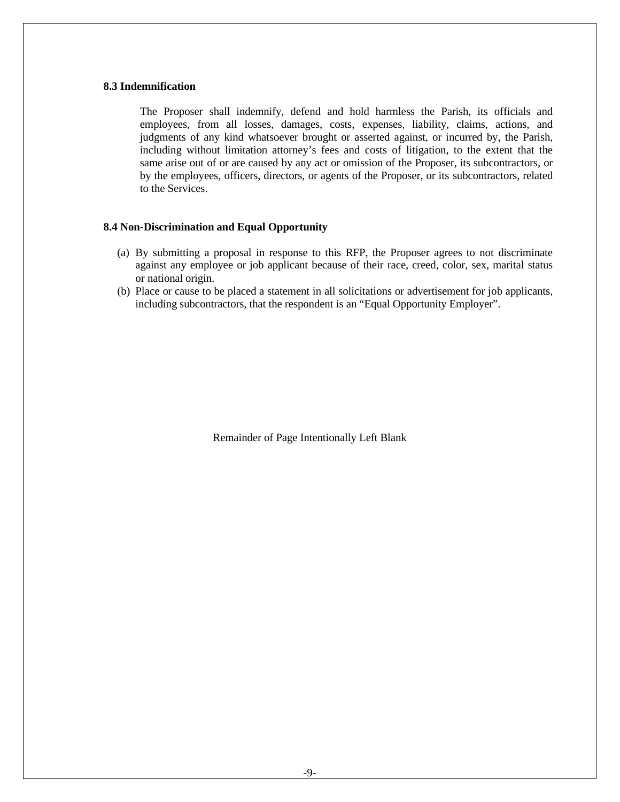## **8.3 Indemnification**

The Proposer shall indemnify, defend and hold harmless the Parish, its officials and employees, from all losses, damages, costs, expenses, liability, claims, actions, and judgments of any kind whatsoever brought or asserted against, or incurred by, the Parish, including without limitation attorney's fees and costs of litigation, to the extent that the same arise out of or are caused by any act or omission of the Proposer, its subcontractors, or by the employees, officers, directors, or agents of the Proposer, or its subcontractors, related to the Services.

## **8.4 Non-Discrimination and Equal Opportunity**

- (a) By submitting a proposal in response to this RFP, the Proposer agrees to not discriminate against any employee or job applicant because of their race, creed, color, sex, marital status or national origin.
- (b) Place or cause to be placed a statement in all solicitations or advertisement for job applicants, including subcontractors, that the respondent is an "Equal Opportunity Employer".

Remainder of Page Intentionally Left Blank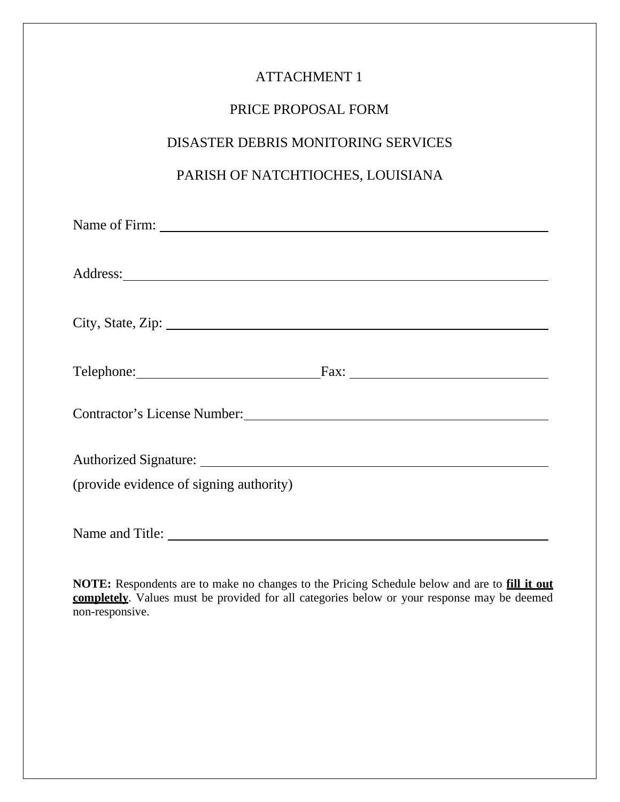| <b>ATTACHMENT 1</b>                                                                                                                                                                                                                 |
|-------------------------------------------------------------------------------------------------------------------------------------------------------------------------------------------------------------------------------------|
| PRICE PROPOSAL FORM                                                                                                                                                                                                                 |
| <b>DISASTER DEBRIS MONITORING SERVICES</b>                                                                                                                                                                                          |
| PARISH OF NATCHTIOCHES, LOUISIANA                                                                                                                                                                                                   |
|                                                                                                                                                                                                                                     |
| Address: <u>Address</u> and the contract of the contract of the contract of the contract of the contract of the contract of the contract of the contract of the contract of the contract of the contract of the contract of the con |
| City, State, Zip: $\sqrt{\frac{2\pi}{\pi}}$                                                                                                                                                                                         |
| Telephone: Fax: Fax:                                                                                                                                                                                                                |
| Contractor's License Number: Manual Account of the Museum of the Museum of the Museum of the Museum of the Museum of the Museum of the Museum of the Museum of the Museum of the Museum of the Museum of the Museum of the Mus      |
|                                                                                                                                                                                                                                     |
| (provide evidence of signing authority)                                                                                                                                                                                             |
|                                                                                                                                                                                                                                     |

**NOTE:** Respondents are to make no changes to the Pricing Schedule below and are to **fill it out completely**. Values must be provided for all categories below or your response may be deemed non-responsive.